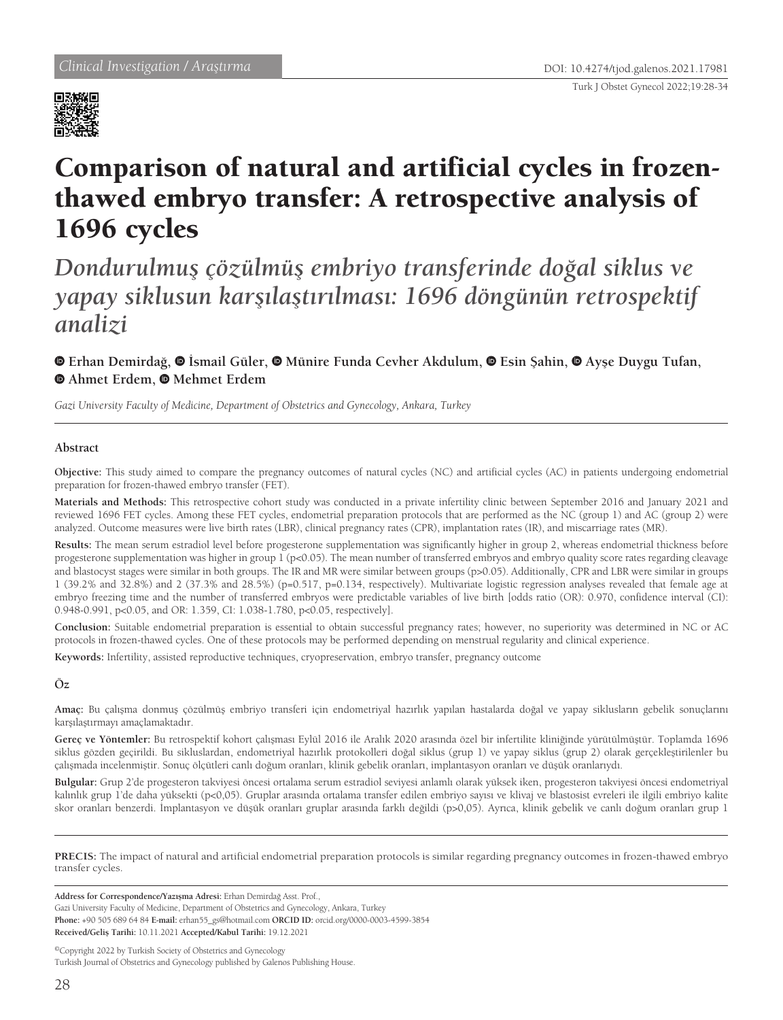

# Comparison of natural and artificial cycles in frozenthawed embryo transfer: A retrospective analysis of 1696 cycles

*Dondurulmuş çözülmüş embriyo transferinde doğal siklus ve yapay siklusun karşılaştırılması: 1696 döngünün retrospektif analizi*

**Erhan Demirdağ,İsmail Güler,Münire Funda Cevher Akdulum,Esin Şahin,Ayşe Duygu Tufan, Ahmet Erdem, Mehmet Erdem**

*Gazi University Faculty of Medicine, Department of Obstetrics and Gynecology, Ankara, Turkey*

#### **Abstract**

**Objective:** This study aimed to compare the pregnancy outcomes of natural cycles (NC) and artificial cycles (AC) in patients undergoing endometrial preparation for frozen-thawed embryo transfer (FET).

**Materials and Methods:** This retrospective cohort study was conducted in a private infertility clinic between September 2016 and January 2021 and reviewed 1696 FET cycles. Among these FET cycles, endometrial preparation protocols that are performed as the NC (group 1) and AC (group 2) were analyzed. Outcome measures were live birth rates (LBR), clinical pregnancy rates (CPR), implantation rates (IR), and miscarriage rates (MR).

**Results:** The mean serum estradiol level before progesterone supplementation was significantly higher in group 2, whereas endometrial thickness before progesterone supplementation was higher in group 1 (p<0.05). The mean number of transferred embryos and embryo quality score rates regarding cleavage and blastocyst stages were similar in both groups. The IR and MR were similar between groups (p>0.05). Additionally, CPR and LBR were similar in groups 1 (39.2% and 32.8%) and 2 (37.3% and 28.5%) (p=0.517, p=0.134, respectively). Multivariate logistic regression analyses revealed that female age at embryo freezing time and the number of transferred embryos were predictable variables of live birth [odds ratio (OR): 0.970, confidence interval (CI): 0.948-0.991, p<0.05, and OR: 1.359, CI: 1.038-1.780, p<0.05, respectively].

**Conclusion:** Suitable endometrial preparation is essential to obtain successful pregnancy rates; however, no superiority was determined in NC or AC protocols in frozen-thawed cycles. One of these protocols may be performed depending on menstrual regularity and clinical experience.

**Keywords:** Infertility, assisted reproductive techniques, cryopreservation, embryo transfer, pregnancy outcome

## **Öz**

**Amaç:** Bu çalışma donmuş çözülmüş embriyo transferi için endometriyal hazırlık yapılan hastalarda doğal ve yapay siklusların gebelik sonuçlarını karşılaştırmayı amaçlamaktadır.

**Gereç ve Yöntemler:** Bu retrospektif kohort çalışması Eylül 2016 ile Aralık 2020 arasında özel bir infertilite kliniğinde yürütülmüştür. Toplamda 1696 siklus gözden geçirildi. Bu sikluslardan, endometriyal hazırlık protokolleri doğal siklus (grup 1) ve yapay siklus (grup 2) olarak gerçekleştirilenler bu çalışmada incelenmiştir. Sonuç ölçütleri canlı doğum oranları, klinik gebelik oranları, implantasyon oranları ve düşük oranlarıydı.

**Bulgular:** Grup 2'de progesteron takviyesi öncesi ortalama serum estradiol seviyesi anlamlı olarak yüksek iken, progesteron takviyesi öncesi endometriyal kalınlık grup 1'de daha yüksekti (p<0,05). Gruplar arasında ortalama transfer edilen embriyo sayısı ve klivaj ve blastosist evreleri ile ilgili embriyo kalite skor oranları benzerdi. İmplantasyon ve düşük oranları gruplar arasında farklı değildi (p>0,05). Ayrıca, klinik gebelik ve canlı doğum oranları grup 1

**PRECIS:** The impact of natural and artificial endometrial preparation protocols is similar regarding pregnancy outcomes in frozen-thawed embryo transfer cycles.

**Address for Correspondence/Yazışma Adresi:** Erhan Demirdağ Asst. Prof.,

Gazi University Faculty of Medicine, Department of Obstetrics and Gynecology, Ankara, Turkey

**Phone:** +90 505 689 64 84 **E-mail:** erhan55\_gs@hotmail.com **ORCID ID:** orcid.org/0000-0003-4599-3854 **Received/Geliş Tarihi:** 10.11.2021 **Accepted/Kabul Tarihi:** 19.12.2021

©Copyright 2022 by Turkish Society of Obstetrics and Gynecology

Turkish Journal of Obstetrics and Gynecology published by Galenos Publishing House.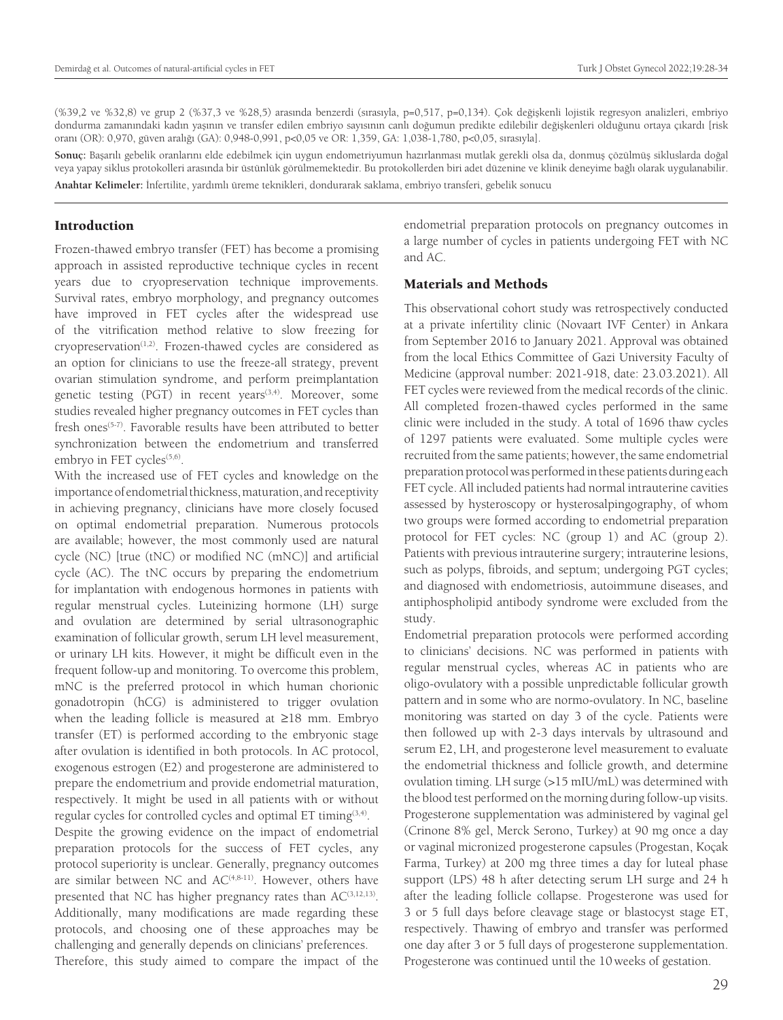(%39,2 ve %32,8) ve grup 2 (%37,3 ve %28,5) arasında benzerdi (sırasıyla, p=0,517, p=0,134). Çok değişkenli lojistik regresyon analizleri, embriyo dondurma zamanındaki kadın yaşının ve transfer edilen embriyo sayısının canlı doğumun predikte edilebilir değişkenleri olduğunu ortaya çıkardı [risk oranı (OR): 0,970, güven aralığı (GA): 0,948-0,991, p<0,05 ve OR: 1,359, GA: 1,038-1,780, p<0,05, sırasıyla].

**Sonuç:** Başarılı gebelik oranlarını elde edebilmek için uygun endometriyumun hazırlanması mutlak gerekli olsa da, donmuş çözülmüş sikluslarda doğal veya yapay siklus protokolleri arasında bir üstünlük görülmemektedir. Bu protokollerden biri adet düzenine ve klinik deneyime bağlı olarak uygulanabilir. **Anahtar Kelimeler:** İnfertilite, yardımlı üreme teknikleri, dondurarak saklama, embriyo transferi, gebelik sonucu

## Introduction

Frozen-thawed embryo transfer (FET) has become a promising approach in assisted reproductive technique cycles in recent years due to cryopreservation technique improvements. Survival rates, embryo morphology, and pregnancy outcomes have improved in FET cycles after the widespread use of the vitrification method relative to slow freezing for cryopreservation<sup>(1,2)</sup>. Frozen-thawed cycles are considered as an option for clinicians to use the freeze-all strategy, prevent ovarian stimulation syndrome, and perform preimplantation genetic testing (PGT) in recent years<sup>(3,4)</sup>. Moreover, some studies revealed higher pregnancy outcomes in FET cycles than fresh ones<sup>(5-7)</sup>. Favorable results have been attributed to better synchronization between the endometrium and transferred embryo in FET cycles<sup>(5,6)</sup>.

With the increased use of FET cycles and knowledge on the importance of endometrial thickness, maturation, and receptivity in achieving pregnancy, clinicians have more closely focused on optimal endometrial preparation. Numerous protocols are available; however, the most commonly used are natural cycle (NC) [true (tNC) or modified NC (mNC)] and artificial cycle (AC). The tNC occurs by preparing the endometrium for implantation with endogenous hormones in patients with regular menstrual cycles. Luteinizing hormone (LH) surge and ovulation are determined by serial ultrasonographic examination of follicular growth, serum LH level measurement, or urinary LH kits. However, it might be difficult even in the frequent follow-up and monitoring. To overcome this problem, mNC is the preferred protocol in which human chorionic gonadotropin (hCG) is administered to trigger ovulation when the leading follicle is measured at ≥18 mm. Embryo transfer (ET) is performed according to the embryonic stage after ovulation is identified in both protocols. In AC protocol, exogenous estrogen (E2) and progesterone are administered to prepare the endometrium and provide endometrial maturation, respectively. It might be used in all patients with or without regular cycles for controlled cycles and optimal  $ET$  timing $(3,4)$ .

Despite the growing evidence on the impact of endometrial preparation protocols for the success of FET cycles, any protocol superiority is unclear. Generally, pregnancy outcomes are similar between NC and  $AC^{(4,8-11)}$ . However, others have presented that NC has higher pregnancy rates than  $AC^{(3,12,13)}$ . Additionally, many modifications are made regarding these protocols, and choosing one of these approaches may be challenging and generally depends on clinicians' preferences. Therefore, this study aimed to compare the impact of the

endometrial preparation protocols on pregnancy outcomes in a large number of cycles in patients undergoing FET with NC and AC.

## Materials and Methods

This observational cohort study was retrospectively conducted at a private infertility clinic (Novaart IVF Center) in Ankara from September 2016 to January 2021. Approval was obtained from the local Ethics Committee of Gazi University Faculty of Medicine (approval number: 2021-918, date: 23.03.2021). All FET cycles were reviewed from the medical records of the clinic. All completed frozen-thawed cycles performed in the same clinic were included in the study. A total of 1696 thaw cycles of 1297 patients were evaluated. Some multiple cycles were recruited from the same patients; however, the same endometrial preparation protocol was performed in these patients during each FET cycle. All included patients had normal intrauterine cavities assessed by hysteroscopy or hysterosalpingography, of whom two groups were formed according to endometrial preparation protocol for FET cycles: NC (group 1) and AC (group 2). Patients with previous intrauterine surgery; intrauterine lesions, such as polyps, fibroids, and septum; undergoing PGT cycles; and diagnosed with endometriosis, autoimmune diseases, and antiphospholipid antibody syndrome were excluded from the study.

Endometrial preparation protocols were performed according to clinicians' decisions. NC was performed in patients with regular menstrual cycles, whereas AC in patients who are oligo-ovulatory with a possible unpredictable follicular growth pattern and in some who are normo-ovulatory. In NC, baseline monitoring was started on day 3 of the cycle. Patients were then followed up with 2-3 days intervals by ultrasound and serum E2, LH, and progesterone level measurement to evaluate the endometrial thickness and follicle growth, and determine ovulation timing. LH surge (>15 mIU/mL) was determined with the blood test performed on the morning during follow-up visits. Progesterone supplementation was administered by vaginal gel (Crinone 8% gel, Merck Serono, Turkey) at 90 mg once a day or vaginal micronized progesterone capsules (Progestan, Koçak Farma, Turkey) at 200 mg three times a day for luteal phase support (LPS) 48 h after detecting serum LH surge and 24 h after the leading follicle collapse. Progesterone was used for 3 or 5 full days before cleavage stage or blastocyst stage ET, respectively. Thawing of embryo and transfer was performed one day after 3 or 5 full days of progesterone supplementation. Progesterone was continued until the 10 weeks of gestation.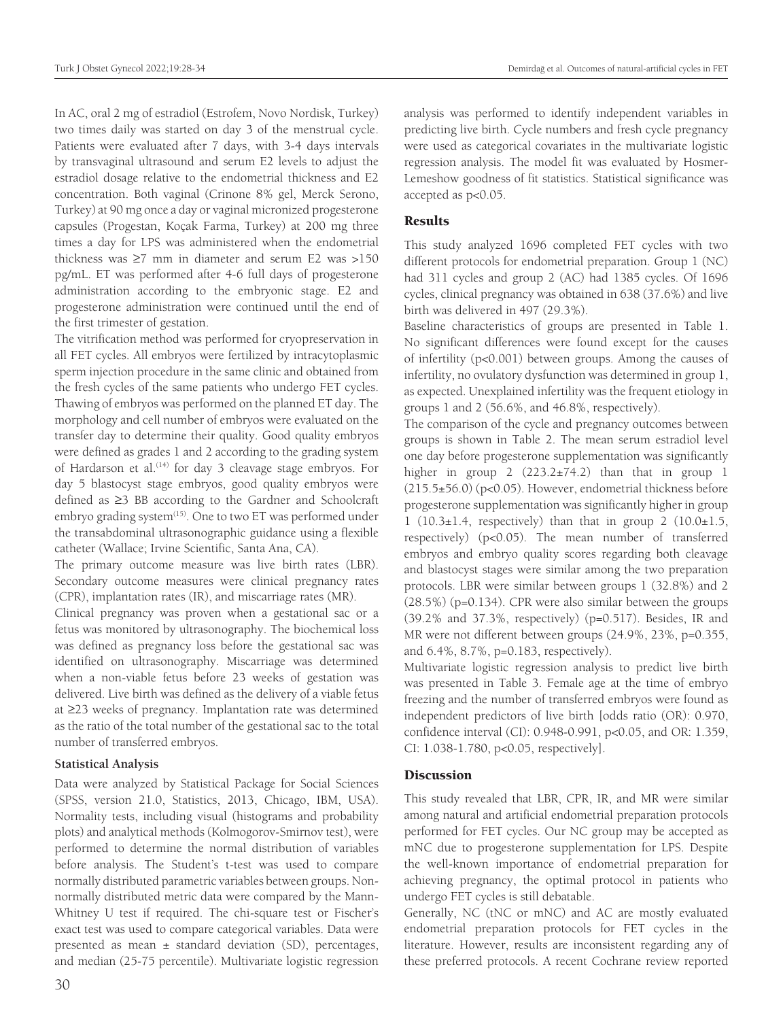In AC, oral 2 mg of estradiol (Estrofem, Novo Nordisk, Turkey) two times daily was started on day 3 of the menstrual cycle. Patients were evaluated after 7 days, with 3-4 days intervals by transvaginal ultrasound and serum E2 levels to adjust the estradiol dosage relative to the endometrial thickness and E2 concentration. Both vaginal (Crinone 8% gel, Merck Serono, Turkey) at 90 mg once a day or vaginal micronized progesterone capsules (Progestan, Koçak Farma, Turkey) at 200 mg three times a day for LPS was administered when the endometrial thickness was ≥7 mm in diameter and serum E2 was >150 pg/mL. ET was performed after 4-6 full days of progesterone administration according to the embryonic stage. E2 and progesterone administration were continued until the end of the first trimester of gestation.

The vitrification method was performed for cryopreservation in all FET cycles. All embryos were fertilized by intracytoplasmic sperm injection procedure in the same clinic and obtained from the fresh cycles of the same patients who undergo FET cycles. Thawing of embryos was performed on the planned ET day. The morphology and cell number of embryos were evaluated on the transfer day to determine their quality. Good quality embryos were defined as grades 1 and 2 according to the grading system of Hardarson et al.<sup>(14)</sup> for day 3 cleavage stage embryos. For day 5 blastocyst stage embryos, good quality embryos were defined as ≥3 BB according to the Gardner and Schoolcraft embryo grading system<sup>(15)</sup>. One to two ET was performed under the transabdominal ultrasonographic guidance using a flexible catheter (Wallace; Irvine Scientific, Santa Ana, CA).

The primary outcome measure was live birth rates (LBR). Secondary outcome measures were clinical pregnancy rates (CPR), implantation rates (IR), and miscarriage rates (MR).

Clinical pregnancy was proven when a gestational sac or a fetus was monitored by ultrasonography. The biochemical loss was defined as pregnancy loss before the gestational sac was identified on ultrasonography. Miscarriage was determined when a non-viable fetus before 23 weeks of gestation was delivered. Live birth was defined as the delivery of a viable fetus at ≥23 weeks of pregnancy. Implantation rate was determined as the ratio of the total number of the gestational sac to the total number of transferred embryos.

#### **Statistical Analysis**

Data were analyzed by Statistical Package for Social Sciences (SPSS, version 21.0, Statistics, 2013, Chicago, IBM, USA). Normality tests, including visual (histograms and probability plots) and analytical methods (Kolmogorov-Smirnov test), were performed to determine the normal distribution of variables before analysis. The Student's t-test was used to compare normally distributed parametric variables between groups. Nonnormally distributed metric data were compared by the Mann-Whitney U test if required. The chi-square test or Fischer's exact test was used to compare categorical variables. Data were presented as mean  $\pm$  standard deviation (SD), percentages, and median (25-75 percentile). Multivariate logistic regression

analysis was performed to identify independent variables in predicting live birth. Cycle numbers and fresh cycle pregnancy were used as categorical covariates in the multivariate logistic regression analysis. The model fit was evaluated by Hosmer-Lemeshow goodness of fit statistics. Statistical significance was accepted as p<0.05.

#### Results

This study analyzed 1696 completed FET cycles with two different protocols for endometrial preparation. Group 1 (NC) had 311 cycles and group 2 (AC) had 1385 cycles. Of 1696 cycles, clinical pregnancy was obtained in 638 (37.6%) and live birth was delivered in 497 (29.3%).

Baseline characteristics of groups are presented in Table 1. No significant differences were found except for the causes of infertility (p<0.001) between groups. Among the causes of infertility, no ovulatory dysfunction was determined in group 1, as expected. Unexplained infertility was the frequent etiology in groups 1 and 2 (56.6%, and 46.8%, respectively).

The comparison of the cycle and pregnancy outcomes between groups is shown in Table 2. The mean serum estradiol level one day before progesterone supplementation was significantly higher in group 2 (223.2±74.2) than that in group 1 (215.5±56.0) (p<0.05). However, endometrial thickness before progesterone supplementation was significantly higher in group 1 (10.3 $\pm$ 1.4, respectively) than that in group 2 (10.0 $\pm$ 1.5, respectively) (p<0.05). The mean number of transferred embryos and embryo quality scores regarding both cleavage and blastocyst stages were similar among the two preparation protocols. LBR were similar between groups 1 (32.8%) and 2 (28.5%) (p=0.134). CPR were also similar between the groups (39.2% and 37.3%, respectively) (p=0.517). Besides, IR and MR were not different between groups (24.9%, 23%, p=0.355, and 6.4%, 8.7%, p=0.183, respectively).

Multivariate logistic regression analysis to predict live birth was presented in Table 3. Female age at the time of embryo freezing and the number of transferred embryos were found as independent predictors of live birth [odds ratio (OR): 0.970, confidence interval (CI): 0.948-0.991, p<0.05, and OR: 1.359, CI: 1.038-1.780, p<0.05, respectively].

#### **Discussion**

This study revealed that LBR, CPR, IR, and MR were similar among natural and artificial endometrial preparation protocols performed for FET cycles. Our NC group may be accepted as mNC due to progesterone supplementation for LPS. Despite the well-known importance of endometrial preparation for achieving pregnancy, the optimal protocol in patients who undergo FET cycles is still debatable.

Generally, NC (tNC or mNC) and AC are mostly evaluated endometrial preparation protocols for FET cycles in the literature. However, results are inconsistent regarding any of these preferred protocols. A recent Cochrane review reported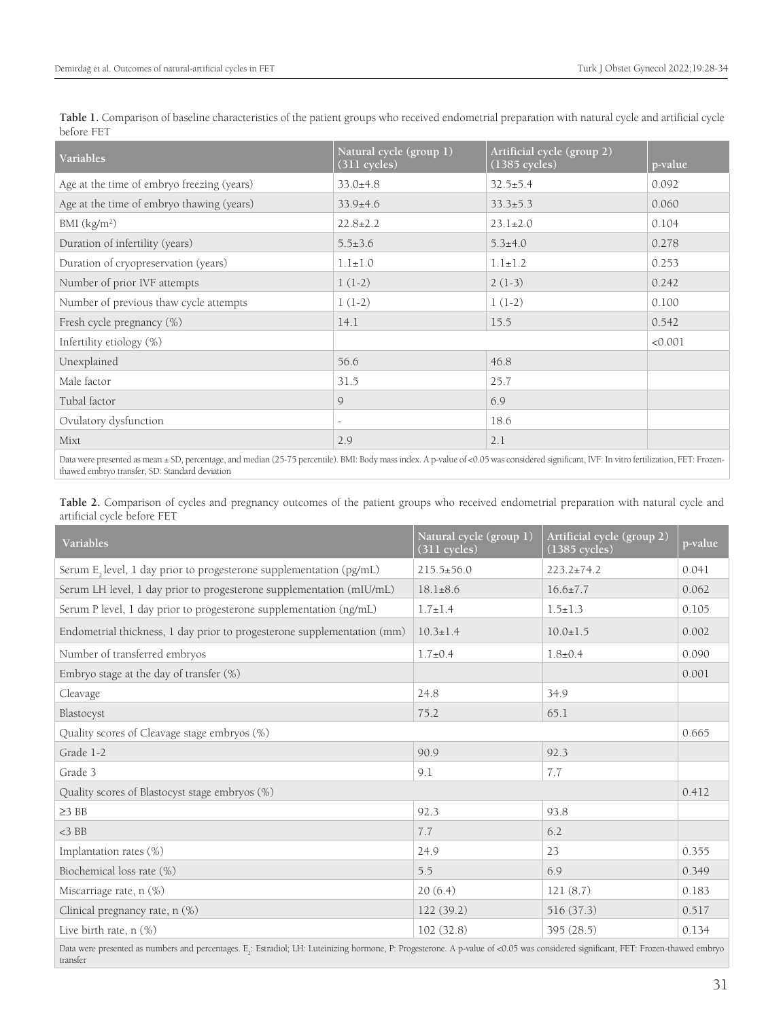| Variables                                                                                                                                                                                                                                                                                                                                                                                                                                     | Natural cycle (group 1)<br>(311 cycles) | Artificial cycle (group 2)<br>$(1385$ cycles) | p-value |  |  |  |
|-----------------------------------------------------------------------------------------------------------------------------------------------------------------------------------------------------------------------------------------------------------------------------------------------------------------------------------------------------------------------------------------------------------------------------------------------|-----------------------------------------|-----------------------------------------------|---------|--|--|--|
| Age at the time of embryo freezing (years)                                                                                                                                                                                                                                                                                                                                                                                                    | $33.0+4.8$                              | $32.5 \pm 5.4$                                | 0.092   |  |  |  |
| Age at the time of embryo thawing (years)                                                                                                                                                                                                                                                                                                                                                                                                     | $33.9+4.6$                              | $33.3 \pm 5.3$                                | 0.060   |  |  |  |
| BMI (kg/m <sup>2</sup> )                                                                                                                                                                                                                                                                                                                                                                                                                      | $22.8 \pm 2.2$                          | $23.1 \pm 2.0$                                | 0.104   |  |  |  |
| Duration of infertility (years)                                                                                                                                                                                                                                                                                                                                                                                                               | $5.5 \pm 3.6$                           | $5.3 \pm 4.0$                                 | 0.278   |  |  |  |
| Duration of cryopreservation (years)                                                                                                                                                                                                                                                                                                                                                                                                          | $1.1 \pm 1.0$                           | $1.1 \pm 1.2$                                 | 0.253   |  |  |  |
| Number of prior IVF attempts                                                                                                                                                                                                                                                                                                                                                                                                                  | $1(1-2)$                                | $2(1-3)$                                      | 0.242   |  |  |  |
| Number of previous thaw cycle attempts                                                                                                                                                                                                                                                                                                                                                                                                        | $1(1-2)$                                | $1(1-2)$                                      | 0.100   |  |  |  |
| Fresh cycle pregnancy (%)                                                                                                                                                                                                                                                                                                                                                                                                                     | 14.1                                    | 15.5                                          | 0.542   |  |  |  |
| Infertility etiology (%)                                                                                                                                                                                                                                                                                                                                                                                                                      |                                         |                                               | < 0.001 |  |  |  |
| Unexplained                                                                                                                                                                                                                                                                                                                                                                                                                                   | 56.6                                    | 46.8                                          |         |  |  |  |
| Male factor                                                                                                                                                                                                                                                                                                                                                                                                                                   | 31.5                                    | 25.7                                          |         |  |  |  |
| Tubal factor                                                                                                                                                                                                                                                                                                                                                                                                                                  | 9                                       | 6.9                                           |         |  |  |  |
| Ovulatory dysfunction                                                                                                                                                                                                                                                                                                                                                                                                                         | $\overline{\phantom{a}}$                | 18.6                                          |         |  |  |  |
| Mixt                                                                                                                                                                                                                                                                                                                                                                                                                                          | 2.9                                     | 2.1                                           |         |  |  |  |
| $\mathbf{r}$ and $\mathbf{r}$ and $\mathbf{r}$ and $\mathbf{r}$ and $\mathbf{r}$ and $\mathbf{r}$ and $\mathbf{r}$<br>$\cdots$ $\cdots$ $\cdots$ $\cdots$<br>and the second terms of the second contract of the second second second terms of the second second second second second second second second second second second second second second second second second second second seco<br>$(1)$ and $(2)$ and $(1)$<br><b>CONTRACTOR</b> |                                         |                                               |         |  |  |  |

**Table 1.** Comparison of baseline characteristics of the patient groups who received endometrial preparation with natural cycle and artificial cycle before FET

Data were presented as mean ± SD, percentage, and median (25-75 percentile). BMI: Body mass index. A p-value of <0.05 was considered significant, IVF: In vitro fertilization, FET: Frozenthawed embryo transfer, SD: Standard deviation

**Table 2.** Comparison of cycles and pregnancy outcomes of the patient groups who received endometrial preparation with natural cycle and artificial cycle before FET

| Variables                                                                                                                                                                                     | Natural cycle (group 1)<br>$(311$ cycles) | Artificial cycle (group 2)<br>$(1385 \text{ cycles})$ | p-value |  |
|-----------------------------------------------------------------------------------------------------------------------------------------------------------------------------------------------|-------------------------------------------|-------------------------------------------------------|---------|--|
| Serum E <sub>2</sub> level, 1 day prior to progesterone supplementation (pg/mL)                                                                                                               | $215.5 \pm 56.0$                          | $223.2 \pm 74.2$                                      | 0.041   |  |
| Serum LH level, 1 day prior to progesterone supplementation (mIU/mL)                                                                                                                          | $18.1 \pm 8.6$                            | $16.6 \pm 7.7$                                        | 0.062   |  |
| Serum P level, 1 day prior to progesterone supplementation (ng/mL)                                                                                                                            | $1.7 \pm 1.4$                             | $1.5 \pm 1.3$                                         | 0.105   |  |
| Endometrial thickness, 1 day prior to progesterone supplementation (mm)                                                                                                                       | $10.3 \pm 1.4$                            | $10.0 \pm 1.5$                                        | 0.002   |  |
| Number of transferred embryos                                                                                                                                                                 | $1.7 \pm 0.4$                             | $1.8 \pm 0.4$                                         | 0.090   |  |
| Embryo stage at the day of transfer $(\%)$                                                                                                                                                    |                                           |                                                       | 0.001   |  |
| Cleavage                                                                                                                                                                                      | 24.8                                      | 34.9                                                  |         |  |
| Blastocyst                                                                                                                                                                                    | 75.2                                      | 65.1                                                  |         |  |
| Quality scores of Cleavage stage embryos (%)                                                                                                                                                  |                                           |                                                       |         |  |
| Grade 1-2                                                                                                                                                                                     | 90.9                                      | 92.3                                                  |         |  |
| Grade 3                                                                                                                                                                                       | 9.1                                       | 7.7                                                   |         |  |
| Quality scores of Blastocyst stage embryos (%)                                                                                                                                                |                                           |                                                       |         |  |
| $\geq$ 3 BB                                                                                                                                                                                   | 92.3                                      | 93.8                                                  |         |  |
| $<$ 3 BB                                                                                                                                                                                      | 7.7                                       | 6.2                                                   |         |  |
| Implantation rates (%)                                                                                                                                                                        | 24.9                                      | 23                                                    | 0.355   |  |
| Biochemical loss rate (%)                                                                                                                                                                     | 5.5                                       | 6.9                                                   | 0.349   |  |
| Miscarriage rate, n (%)                                                                                                                                                                       | 20(6.4)                                   | 121(8.7)                                              | 0.183   |  |
| Clinical pregnancy rate, n (%)                                                                                                                                                                | 122(39.2)                                 | 516 (37.3)                                            | 0.517   |  |
| Live birth rate, $n$ $(\%)$                                                                                                                                                                   | 102(32.8)                                 | 395 (28.5)                                            | 0.134   |  |
| Data were presented as numbers and percentages. E.: Estradiol; LH: Luteinizing hormone, P: Progesterone. A p-value of <0.05 was considered significant, FET: Frozen-thawed embryo<br>transfer |                                           |                                                       |         |  |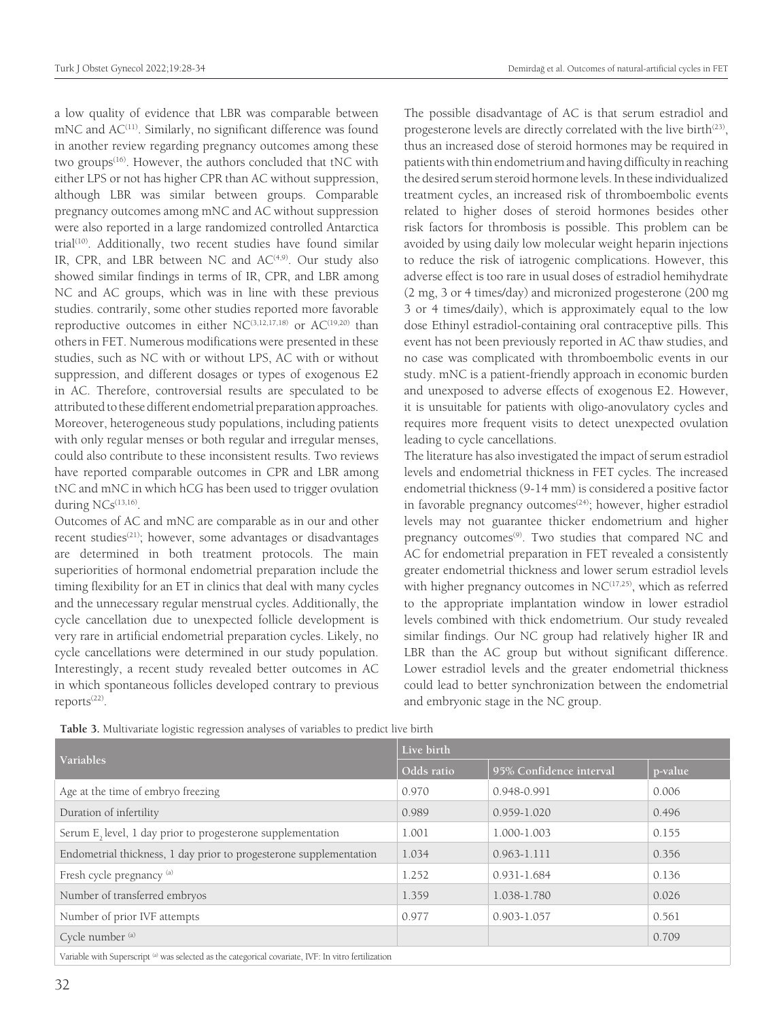a low quality of evidence that LBR was comparable between mNC and AC<sup>(11)</sup>. Similarly, no significant difference was found in another review regarding pregnancy outcomes among these two groups<sup>(16)</sup>. However, the authors concluded that tNC with either LPS or not has higher CPR than AC without suppression, although LBR was similar between groups. Comparable pregnancy outcomes among mNC and AC without suppression were also reported in a large randomized controlled Antarctica trial<sup>(10)</sup>. Additionally, two recent studies have found similar IR, CPR, and LBR between NC and  $AC^{(4,9)}$ . Our study also showed similar findings in terms of IR, CPR, and LBR among NC and AC groups, which was in line with these previous studies. contrarily, some other studies reported more favorable reproductive outcomes in either  $NC^{(3,12,17,18)}$  or  $AC^{(19,20)}$  than others in FET. Numerous modifications were presented in these studies, such as NC with or without LPS, AC with or without suppression, and different dosages or types of exogenous E2 in AC. Therefore, controversial results are speculated to be attributed to these different endometrial preparation approaches. Moreover, heterogeneous study populations, including patients with only regular menses or both regular and irregular menses, could also contribute to these inconsistent results. Two reviews have reported comparable outcomes in CPR and LBR among tNC and mNC in which hCG has been used to trigger ovulation during NCs<sup>(13,16)</sup>.

Outcomes of AC and mNC are comparable as in our and other recent studies<sup>(21)</sup>; however, some advantages or disadvantages are determined in both treatment protocols. The main superiorities of hormonal endometrial preparation include the timing flexibility for an ET in clinics that deal with many cycles and the unnecessary regular menstrual cycles. Additionally, the cycle cancellation due to unexpected follicle development is very rare in artificial endometrial preparation cycles. Likely, no cycle cancellations were determined in our study population. Interestingly, a recent study revealed better outcomes in AC in which spontaneous follicles developed contrary to previous reports<sup>(22)</sup>.

The possible disadvantage of AC is that serum estradiol and progesterone levels are directly correlated with the live birth<sup>(23)</sup>, thus an increased dose of steroid hormones may be required in patients with thin endometrium and having difficulty in reaching the desired serum steroid hormone levels. In these individualized treatment cycles, an increased risk of thromboembolic events related to higher doses of steroid hormones besides other risk factors for thrombosis is possible. This problem can be avoided by using daily low molecular weight heparin injections to reduce the risk of iatrogenic complications. However, this adverse effect is too rare in usual doses of estradiol hemihydrate (2 mg, 3 or 4 times/day) and micronized progesterone (200 mg 3 or 4 times/daily), which is approximately equal to the low dose Ethinyl estradiol-containing oral contraceptive pills. This event has not been previously reported in AC thaw studies, and no case was complicated with thromboembolic events in our study. mNC is a patient-friendly approach in economic burden and unexposed to adverse effects of exogenous E2. However, it is unsuitable for patients with oligo-anovulatory cycles and requires more frequent visits to detect unexpected ovulation leading to cycle cancellations.

The literature has also investigated the impact of serum estradiol levels and endometrial thickness in FET cycles. The increased endometrial thickness (9-14 mm) is considered a positive factor in favorable pregnancy outcomes<sup>(24)</sup>; however, higher estradiol levels may not guarantee thicker endometrium and higher pregnancy outcomes<sup>(9)</sup>. Two studies that compared NC and AC for endometrial preparation in FET revealed a consistently greater endometrial thickness and lower serum estradiol levels with higher pregnancy outcomes in  $NC^{(17,25)}$ , which as referred to the appropriate implantation window in lower estradiol levels combined with thick endometrium. Our study revealed similar findings. Our NC group had relatively higher IR and LBR than the AC group but without significant difference. Lower estradiol levels and the greater endometrial thickness could lead to better synchronization between the endometrial and embryonic stage in the NC group.

|                                                                    | Live birth |                         |         |  |
|--------------------------------------------------------------------|------------|-------------------------|---------|--|
| <b>Variables</b>                                                   | Odds ratio | 95% Confidence interval | p-value |  |
| Age at the time of embryo freezing                                 | 0.970      | 0.948-0.991             | 0.006   |  |
| Duration of infertility                                            | 0.989      | $0.959 - 1.020$         | 0.496   |  |
| Serum E, level, 1 day prior to progesterone supplementation        | 1.001      | 1.000-1.003             | 0.155   |  |
| Endometrial thickness, 1 day prior to progesterone supplementation | 1.034      | $0.963 - 1.111$         | 0.356   |  |
| Fresh cycle pregnancy (a)                                          | 1.252      | $0.931 - 1.684$         | 0.136   |  |
| Number of transferred embryos                                      | 1.359      | 1.038-1.780             | 0.026   |  |
| Number of prior IVF attempts                                       | 0.977      | $0.903 - 1.057$         | 0.561   |  |
| Cycle number (a)                                                   |            |                         | 0.709   |  |
|                                                                    |            |                         |         |  |

**Table 3.** Multivariate logistic regression analyses of variables to predict live birth

Variable with Superscript (a) was selected as the categorical covariate, IVF: In vitro fertilization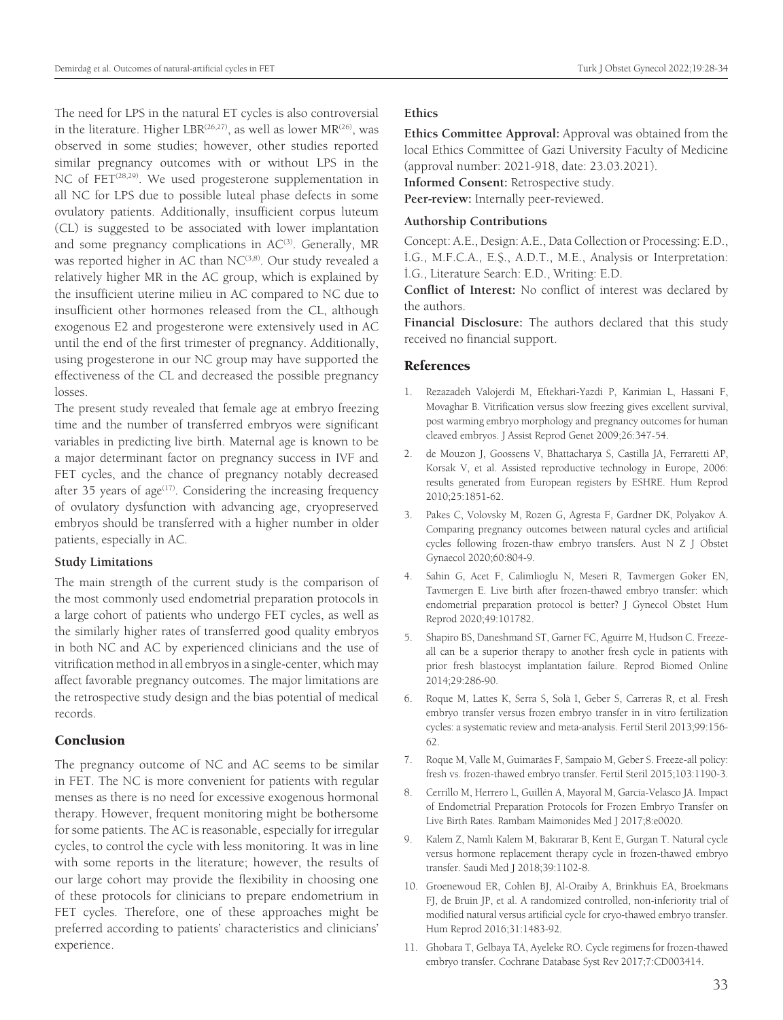The need for LPS in the natural ET cycles is also controversial in the literature. Higher LBR<sup>(26,27)</sup>, as well as lower MR<sup>(26)</sup>, was observed in some studies; however, other studies reported similar pregnancy outcomes with or without LPS in the NC of  $FET^{(28,29)}$ . We used progesterone supplementation in all NC for LPS due to possible luteal phase defects in some ovulatory patients. Additionally, insufficient corpus luteum (CL) is suggested to be associated with lower implantation and some pregnancy complications in  $AC^{(3)}$ . Generally, MR was reported higher in AC than NC<sup>(3,8)</sup>. Our study revealed a relatively higher MR in the AC group, which is explained by the insufficient uterine milieu in AC compared to NC due to insufficient other hormones released from the CL, although exogenous E2 and progesterone were extensively used in AC until the end of the first trimester of pregnancy. Additionally, using progesterone in our NC group may have supported the effectiveness of the CL and decreased the possible pregnancy losses.

The present study revealed that female age at embryo freezing time and the number of transferred embryos were significant variables in predicting live birth. Maternal age is known to be a major determinant factor on pregnancy success in IVF and FET cycles, and the chance of pregnancy notably decreased after 35 years of  $age^{(17)}$ . Considering the increasing frequency of ovulatory dysfunction with advancing age, cryopreserved embryos should be transferred with a higher number in older patients, especially in AC.

#### **Study Limitations**

The main strength of the current study is the comparison of the most commonly used endometrial preparation protocols in a large cohort of patients who undergo FET cycles, as well as the similarly higher rates of transferred good quality embryos in both NC and AC by experienced clinicians and the use of vitrification method in all embryos in a single-center, which may affect favorable pregnancy outcomes. The major limitations are the retrospective study design and the bias potential of medical records.

## Conclusion

The pregnancy outcome of NC and AC seems to be similar in FET. The NC is more convenient for patients with regular menses as there is no need for excessive exogenous hormonal therapy. However, frequent monitoring might be bothersome for some patients. The AC is reasonable, especially for irregular cycles, to control the cycle with less monitoring. It was in line with some reports in the literature; however, the results of our large cohort may provide the flexibility in choosing one of these protocols for clinicians to prepare endometrium in FET cycles. Therefore, one of these approaches might be preferred according to patients' characteristics and clinicians' experience.

#### **Ethics**

**Ethics Committee Approval:** Approval was obtained from the local Ethics Committee of Gazi University Faculty of Medicine (approval number: 2021-918, date: 23.03.2021).

**Informed Consent:** Retrospective study.

**Peer-review:** Internally peer-reviewed.

## **Authorship Contributions**

Concept: A.E., Design: A.E., Data Collection or Processing: E.D., İ.G., M.F.C.A., E.Ş., A.D.T., M.E., Analysis or Interpretation: İ.G., Literature Search: E.D., Writing: E.D.

**Conflict of Interest:** No conflict of interest was declared by the authors.

**Financial Disclosure:** The authors declared that this study received no financial support.

#### References

- 1. Rezazadeh Valojerdi M, Eftekhari-Yazdi P, Karimian L, Hassani F, Movaghar B. Vitrification versus slow freezing gives excellent survival, post warming embryo morphology and pregnancy outcomes for human cleaved embryos. J Assist Reprod Genet 2009;26:347-54.
- 2. de Mouzon J, Goossens V, Bhattacharya S, Castilla JA, Ferraretti AP, Korsak V, et al. Assisted reproductive technology in Europe, 2006: results generated from European registers by ESHRE. Hum Reprod 2010;25:1851-62.
- 3. Pakes C, Volovsky M, Rozen G, Agresta F, Gardner DK, Polyakov A. Comparing pregnancy outcomes between natural cycles and artificial cycles following frozen-thaw embryo transfers. Aust N Z J Obstet Gynaecol 2020;60:804-9.
- 4. Sahin G, Acet F, Calimlioglu N, Meseri R, Tavmergen Goker EN, Tavmergen E. Live birth after frozen-thawed embryo transfer: which endometrial preparation protocol is better? J Gynecol Obstet Hum Reprod 2020;49:101782.
- 5. Shapiro BS, Daneshmand ST, Garner FC, Aguirre M, Hudson C. Freezeall can be a superior therapy to another fresh cycle in patients with prior fresh blastocyst implantation failure. Reprod Biomed Online 2014;29:286-90.
- 6. Roque M, Lattes K, Serra S, Solà I, Geber S, Carreras R, et al. Fresh embryo transfer versus frozen embryo transfer in in vitro fertilization cycles: a systematic review and meta-analysis. Fertil Steril 2013;99:156- 62.
- 7. Roque M, Valle M, Guimarães F, Sampaio M, Geber S. Freeze-all policy: fresh vs. frozen-thawed embryo transfer. Fertil Steril 2015;103:1190-3.
- 8. Cerrillo M, Herrero L, Guillén A, Mayoral M, García-Velasco JA. Impact of Endometrial Preparation Protocols for Frozen Embryo Transfer on Live Birth Rates. Rambam Maimonides Med J 2017;8:e0020.
- 9. Kalem Z, Namlı Kalem M, Bakırarar B, Kent E, Gurgan T. Natural cycle versus hormone replacement therapy cycle in frozen-thawed embryo transfer. Saudi Med J 2018;39:1102-8.
- 10. Groenewoud ER, Cohlen BJ, Al-Oraiby A, Brinkhuis EA, Broekmans FJ, de Bruin JP, et al. A randomized controlled, non-inferiority trial of modified natural versus artificial cycle for cryo-thawed embryo transfer. Hum Reprod 2016;31:1483-92.
- 11. Ghobara T, Gelbaya TA, Ayeleke RO. Cycle regimens for frozen-thawed embryo transfer. Cochrane Database Syst Rev 2017;7:CD003414.